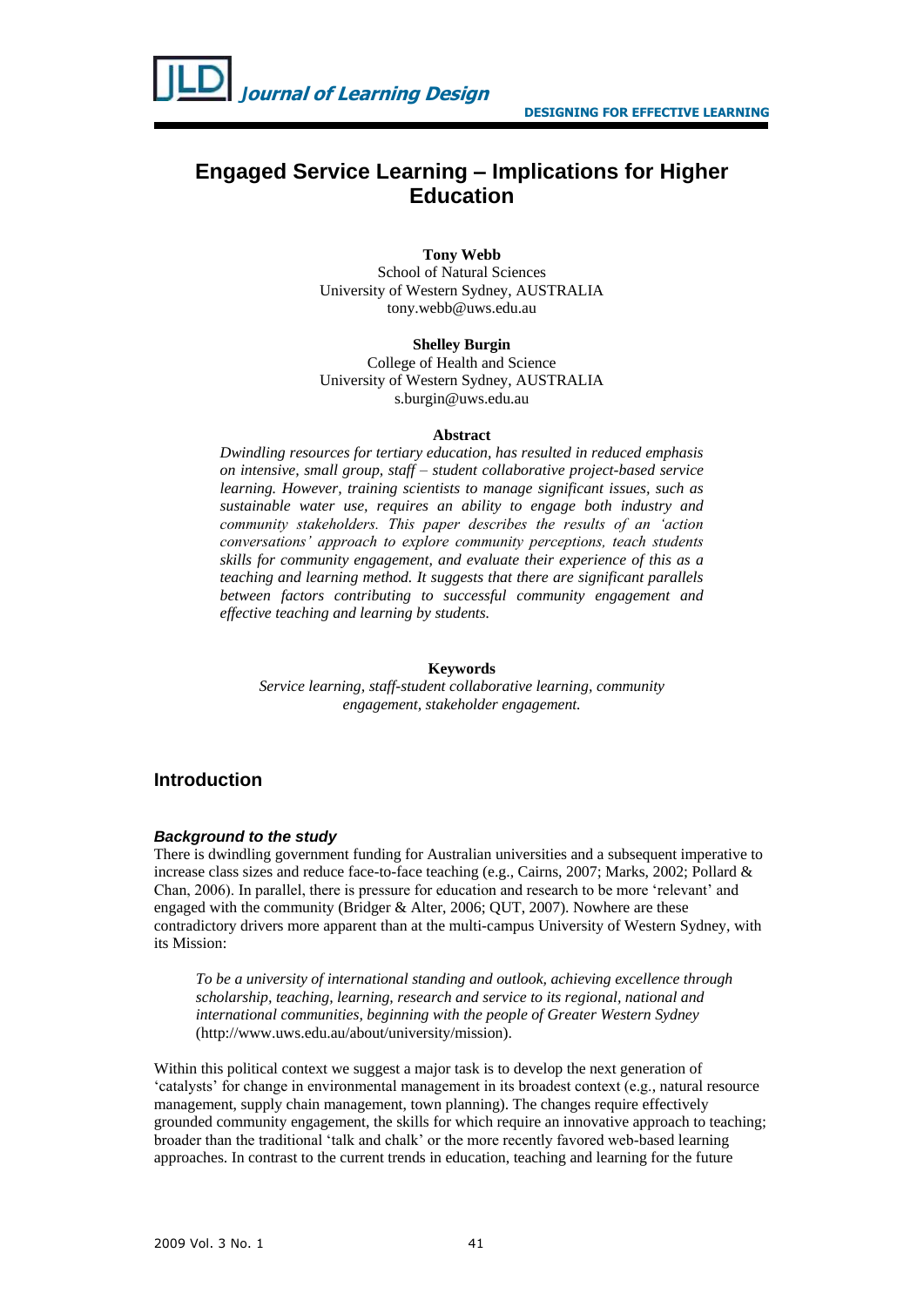

# **Engaged Service Learning – Implications for Higher Education**

**Tony Webb** School of Natural Sciences University of Western Sydney, AUSTRALIA tony.webb@uws.edu.au

**Shelley Burgin** College of Health and Science University of Western Sydney, AUSTRALIA s.burgin@uws.edu.au

#### **Abstract**

*Dwindling resources for tertiary education, has resulted in reduced emphasis on intensive, small group, staff – student collaborative project-based service learning. However, training scientists to manage significant issues, such as sustainable water use, requires an ability to engage both industry and community stakeholders. This paper describes the results of an 'action conversations' approach to explore community perceptions, teach students skills for community engagement, and evaluate their experience of this as a teaching and learning method. It suggests that there are significant parallels between factors contributing to successful community engagement and effective teaching and learning by students.*

#### **Keywords**

*Service learning, staff-student collaborative learning, community engagement, stakeholder engagement.*

# **Introduction**

### *Background to the study*

There is dwindling government funding for Australian universities and a subsequent imperative to increase class sizes and reduce face-to-face teaching (e.g., Cairns, 2007; Marks, 2002; Pollard & Chan, 2006). In parallel, there is pressure for education and research to be more 'relevant' and engaged with the community (Bridger & Alter, 2006; QUT, 2007). Nowhere are these contradictory drivers more apparent than at the multi-campus University of Western Sydney, with its Mission:

*To be a university of international standing and outlook, achieving excellence through scholarship, teaching, learning, research and service to its regional, national and international communities, beginning with the people of Greater Western Sydney* [\(http://www.uws.edu.au/about/university/mission\)](http://www.uws.edu.au/about/university/mission).

Within this political context we suggest a major task is to develop the next generation of 'catalysts' for change in environmental management in its broadest context (e.g., natural resource management, supply chain management, town planning). The changes require effectively grounded community engagement, the skills for which require an innovative approach to teaching; broader than the traditional 'talk and chalk' or the more recently favored web-based learning approaches. In contrast to the current trends in education, teaching and learning for the future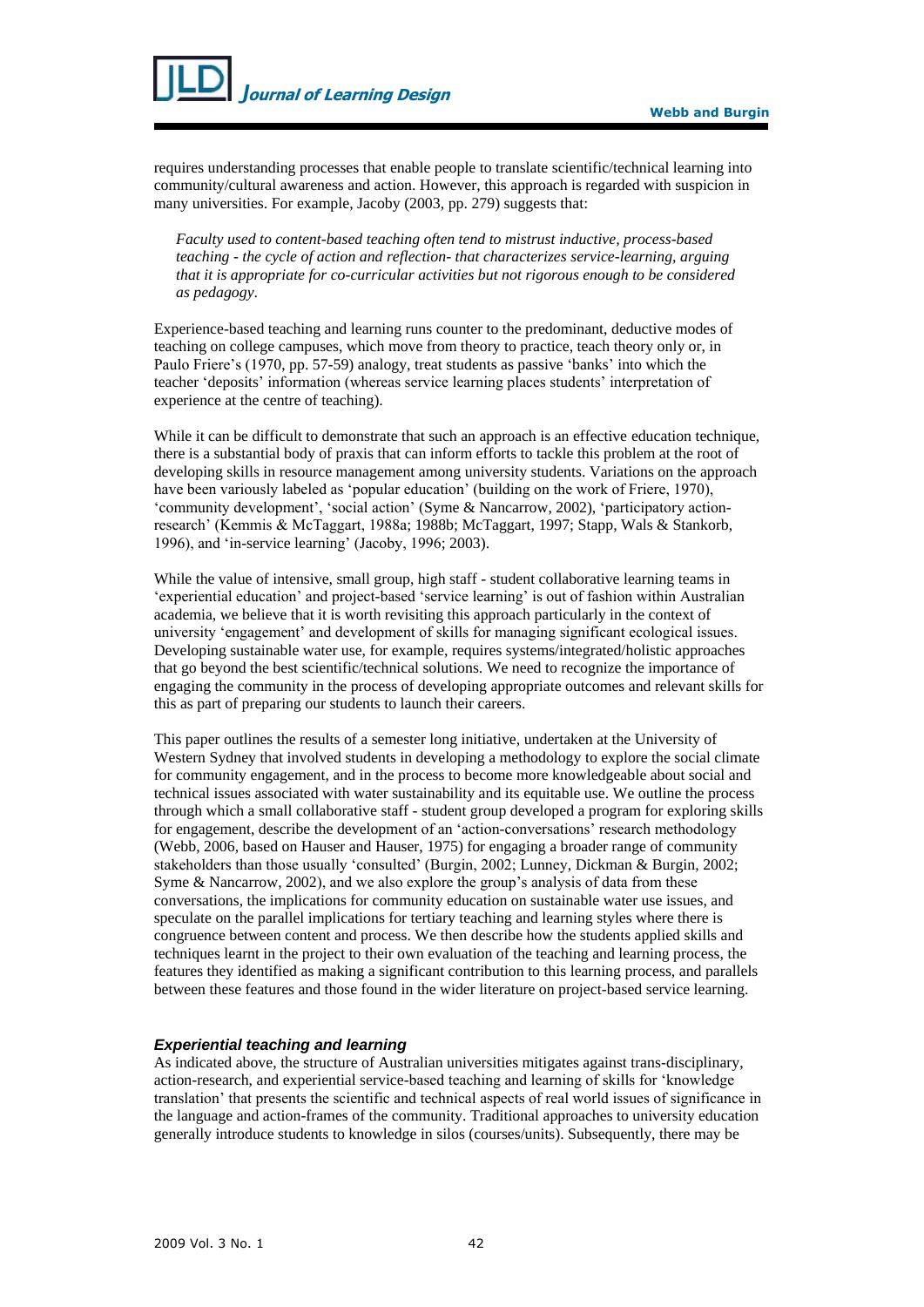

requires understanding processes that enable people to translate scientific/technical learning into community/cultural awareness and action. However, this approach is regarded with suspicion in many universities. For example, Jacoby (2003, pp. 279) suggests that:

*Faculty used to content-based teaching often tend to mistrust inductive, process-based teaching - the cycle of action and reflection- that characterizes service-learning, arguing that it is appropriate for co-curricular activities but not rigorous enough to be considered as pedagogy*.

Experience-based teaching and learning runs counter to the predominant, deductive modes of teaching on college campuses, which move from theory to practice, teach theory only or, in Paulo Friere's (1970, pp. 57-59) analogy, treat students as passive 'banks' into which the teacher 'deposits' information (whereas service learning places students' interpretation of experience at the centre of teaching).

While it can be difficult to demonstrate that such an approach is an effective education technique. there is a substantial body of praxis that can inform efforts to tackle this problem at the root of developing skills in resource management among university students. Variations on the approach have been variously labeled as 'popular education' (building on the work of Friere, 1970), 'community development', 'social action' (Syme & Nancarrow, 2002), 'participatory actionresearch' (Kemmis & McTaggart, 1988a; 1988b; McTaggart, 1997; Stapp, Wals & Stankorb, 1996), and 'in-service learning' (Jacoby, 1996; 2003).

While the value of intensive, small group, high staff - student collaborative learning teams in 'experiential education' and project-based 'service learning' is out of fashion within Australian academia, we believe that it is worth revisiting this approach particularly in the context of university 'engagement' and development of skills for managing significant ecological issues. Developing sustainable water use, for example, requires systems/integrated/holistic approaches that go beyond the best scientific/technical solutions. We need to recognize the importance of engaging the community in the process of developing appropriate outcomes and relevant skills for this as part of preparing our students to launch their careers.

This paper outlines the results of a semester long initiative, undertaken at the University of Western Sydney that involved students in developing a methodology to explore the social climate for community engagement, and in the process to become more knowledgeable about social and technical issues associated with water sustainability and its equitable use. We outline the process through which a small collaborative staff - student group developed a program for exploring skills for engagement, describe the development of an 'action-conversations' research methodology (Webb, 2006, based on Hauser and Hauser, 1975) for engaging a broader range of community stakeholders than those usually 'consulted' (Burgin, 2002; Lunney, Dickman & Burgin, 2002; Syme & Nancarrow, 2002), and we also explore the group's analysis of data from these conversations, the implications for community education on sustainable water use issues, and speculate on the parallel implications for tertiary teaching and learning styles where there is congruence between content and process. We then describe how the students applied skills and techniques learnt in the project to their own evaluation of the teaching and learning process, the features they identified as making a significant contribution to this learning process, and parallels between these features and those found in the wider literature on project-based service learning.

### *Experiential teaching and learning*

As indicated above, the structure of Australian universities mitigates against trans-disciplinary, action-research, and experiential service-based teaching and learning of skills for 'knowledge translation' that presents the scientific and technical aspects of real world issues of significance in the language and action-frames of the community. Traditional approaches to university education generally introduce students to knowledge in silos (courses/units). Subsequently, there may be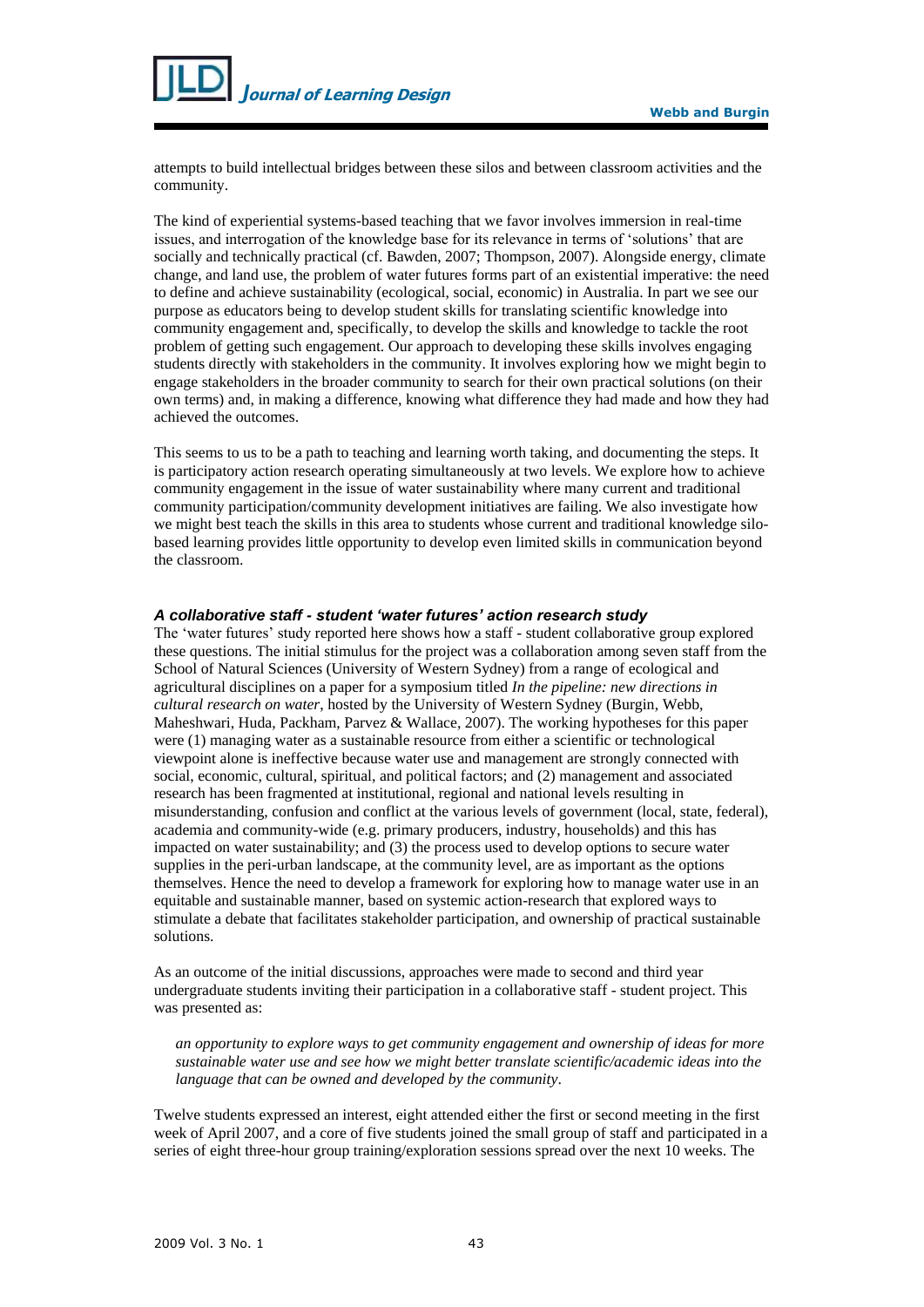

attempts to build intellectual bridges between these silos and between classroom activities and the community.

The kind of experiential systems-based teaching that we favor involves immersion in real-time issues, and interrogation of the knowledge base for its relevance in terms of 'solutions' that are socially and technically practical (cf. Bawden, 2007; Thompson, 2007). Alongside energy, climate change, and land use, the problem of water futures forms part of an existential imperative: the need to define and achieve sustainability (ecological, social, economic) in Australia. In part we see our purpose as educators being to develop student skills for translating scientific knowledge into community engagement and, specifically, to develop the skills and knowledge to tackle the root problem of getting such engagement. Our approach to developing these skills involves engaging students directly with stakeholders in the community. It involves exploring how we might begin to engage stakeholders in the broader community to search for their own practical solutions (on their own terms) and, in making a difference, knowing what difference they had made and how they had achieved the outcomes.

This seems to us to be a path to teaching and learning worth taking, and documenting the steps. It is participatory action research operating simultaneously at two levels. We explore how to achieve community engagement in the issue of water sustainability where many current and traditional community participation/community development initiatives are failing. We also investigate how we might best teach the skills in this area to students whose current and traditional knowledge silobased learning provides little opportunity to develop even limited skills in communication beyond the classroom.

#### *A collaborative staff - student 'water futures' action research study*

The 'water futures' study reported here shows how a staff - student collaborative group explored these questions. The initial stimulus for the project was a collaboration among seven staff from the School of Natural Sciences (University of Western Sydney) from a range of ecological and agricultural disciplines on a paper for a symposium titled *[In the pipeline: new directions in](http://www.uq.edu.au/crn/activities/nature_pipeline.html##)  [cultural research on water](http://www.uq.edu.au/crn/activities/nature_pipeline.html##)*, hosted by the University of Western Sydney (Burgin, Webb, Maheshwari, Huda, Packham, Parvez & Wallace, 2007). The working hypotheses for this paper were (1) managing water as a sustainable resource from either a scientific or technological viewpoint alone is ineffective because water use and management are strongly connected with social, economic, cultural, spiritual, and political factors; and (2) management and associated research has been fragmented at institutional, regional and national levels resulting in misunderstanding, confusion and conflict at the various levels of government (local, state, federal), academia and community-wide (e.g. primary producers, industry, households) and this has impacted on water sustainability; and (3) the process used to develop options to secure water supplies in the peri-urban landscape, at the community level, are as important as the options themselves. Hence the need to develop a framework for exploring how to manage water use in an equitable and sustainable manner, based on systemic action-research that explored ways to stimulate a debate that facilitates stakeholder participation, and ownership of practical sustainable solutions.

As an outcome of the initial discussions, approaches were made to second and third year undergraduate students inviting their participation in a collaborative staff - student project. This was presented as:

*an opportunity to explore ways to get community engagement and ownership of ideas for more sustainable water use and see how we might better translate scientific/academic ideas into the language that can be owned and developed by the community*.

Twelve students expressed an interest, eight attended either the first or second meeting in the first week of April 2007, and a core of five students joined the small group of staff and participated in a series of eight three-hour group training/exploration sessions spread over the next 10 weeks. The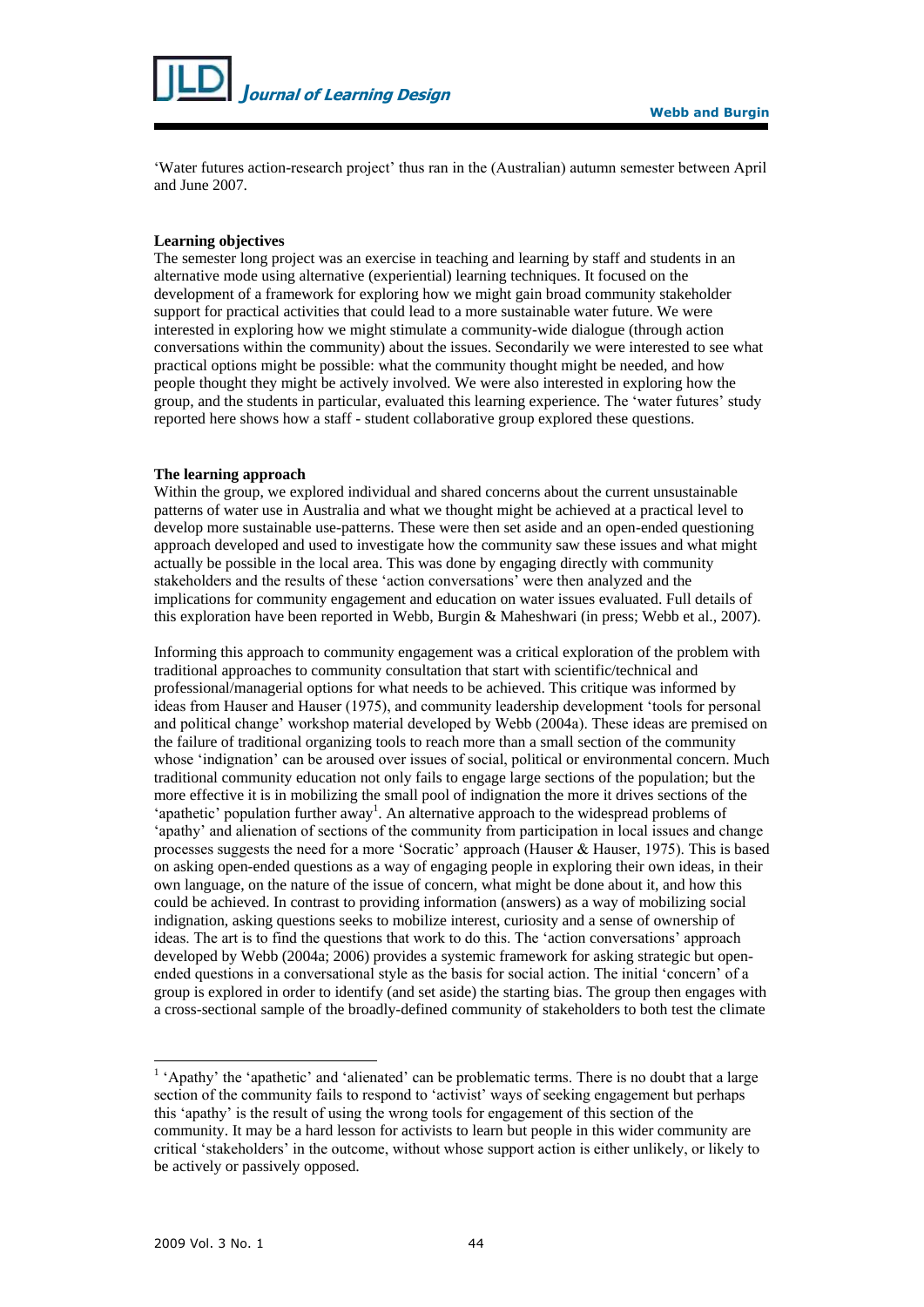

'Water futures action-research project' thus ran in the (Australian) autumn semester between April and June 2007.

#### **Learning objectives**

The semester long project was an exercise in teaching and learning by staff and students in an alternative mode using alternative (experiential) learning techniques. It focused on the development of a framework for exploring how we might gain broad community stakeholder support for practical activities that could lead to a more sustainable water future. We were interested in exploring how we might stimulate a community-wide dialogue (through action conversations within the community) about the issues. Secondarily we were interested to see what practical options might be possible: what the community thought might be needed, and how people thought they might be actively involved. We were also interested in exploring how the group, and the students in particular, evaluated this learning experience. The 'water futures' study reported here shows how a staff - student collaborative group explored these questions.

#### **The learning approach**

Within the group, we explored individual and shared concerns about the current unsustainable patterns of water use in Australia and what we thought might be achieved at a practical level to develop more sustainable use-patterns. These were then set aside and an open-ended questioning approach developed and used to investigate how the community saw these issues and what might actually be possible in the local area. This was done by engaging directly with community stakeholders and the results of these 'action conversations' were then analyzed and the implications for community engagement and education on water issues evaluated. Full details of this exploration have been reported in Webb, Burgin & Maheshwari (in press; Webb et al., 2007).

Informing this approach to community engagement was a critical exploration of the problem with traditional approaches to community consultation that start with scientific/technical and professional/managerial options for what needs to be achieved. This critique was informed by ideas from Hauser and Hauser (1975), and community leadership development 'tools for personal and political change' workshop material developed by Webb (2004a). These ideas are premised on the failure of traditional organizing tools to reach more than a small section of the community whose 'indignation' can be aroused over issues of social, political or environmental concern. Much traditional community education not only fails to engage large sections of the population; but the more effective it is in mobilizing the small pool of indignation the more it drives sections of the 'apathetic' population further away<sup>1</sup>. An alternative approach to the widespread problems of 'apathy' and alienation of sections of the community from participation in local issues and change processes suggests the need for a more 'Socratic' approach (Hauser & Hauser, 1975). This is based on asking open-ended questions as a way of engaging people in exploring their own ideas, in their own language, on the nature of the issue of concern, what might be done about it, and how this could be achieved. In contrast to providing information (answers) as a way of mobilizing social indignation, asking questions seeks to mobilize interest, curiosity and a sense of ownership of ideas. The art is to find the questions that work to do this. The 'action conversations' approach developed by Webb (2004a; 2006) provides a systemic framework for asking strategic but openended questions in a conversational style as the basis for social action. The initial 'concern' of a group is explored in order to identify (and set aside) the starting bias. The group then engages with a cross-sectional sample of the broadly-defined community of stakeholders to both test the climate

l

<sup>&</sup>lt;sup>1</sup> 'Apathy' the 'apathetic' and 'alienated' can be problematic terms. There is no doubt that a large section of the community fails to respond to 'activist' ways of seeking engagement but perhaps this 'apathy' is the result of using the wrong tools for engagement of this section of the community. It may be a hard lesson for activists to learn but people in this wider community are critical 'stakeholders' in the outcome, without whose support action is either unlikely, or likely to be actively or passively opposed.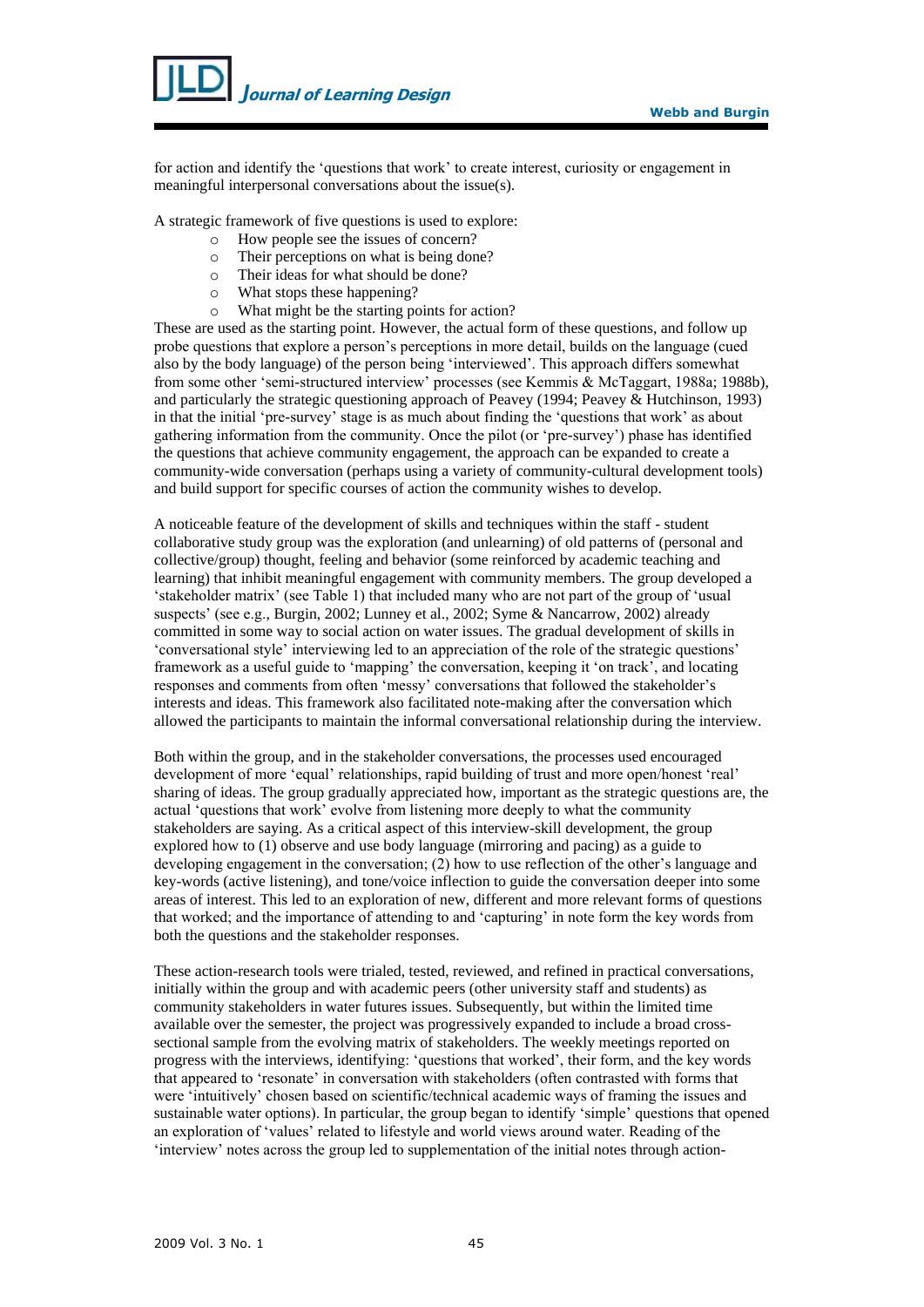

for action and identify the 'questions that work' to create interest, curiosity or engagement in meaningful interpersonal conversations about the issue(s).

A strategic framework of five questions is used to explore:

- o How people see the issues of concern?
- o Their perceptions on what is being done?
- o Their ideas for what should be done?
- o What stops these happening?
- o What might be the starting points for action?

These are used as the starting point. However, the actual form of these questions, and follow up probe questions that explore a person's perceptions in more detail, builds on the language (cued also by the body language) of the person being 'interviewed'. This approach differs somewhat from some other 'semi-structured interview' processes (see Kemmis & McTaggart, 1988a; 1988b), and particularly the strategic questioning approach of Peavey (1994; Peavey & Hutchinson, 1993) in that the initial 'pre-survey' stage is as much about finding the 'questions that work' as about gathering information from the community. Once the pilot (or 'pre-survey') phase has identified the questions that achieve community engagement, the approach can be expanded to create a community-wide conversation (perhaps using a variety of community-cultural development tools) and build support for specific courses of action the community wishes to develop.

A noticeable feature of the development of skills and techniques within the staff - student collaborative study group was the exploration (and unlearning) of old patterns of (personal and collective/group) thought, feeling and behavior (some reinforced by academic teaching and learning) that inhibit meaningful engagement with community members. The group developed a 'stakeholder matrix' (see Table 1) that included many who are not part of the group of 'usual suspects' (see e.g., Burgin, 2002; Lunney et al., 2002; Syme & Nancarrow, 2002) already committed in some way to social action on water issues. The gradual development of skills in 'conversational style' interviewing led to an appreciation of the role of the strategic questions' framework as a useful guide to 'mapping' the conversation, keeping it 'on track', and locating responses and comments from often 'messy' conversations that followed the stakeholder's interests and ideas. This framework also facilitated note-making after the conversation which allowed the participants to maintain the informal conversational relationship during the interview.

Both within the group, and in the stakeholder conversations, the processes used encouraged development of more 'equal' relationships, rapid building of trust and more open/honest 'real' sharing of ideas. The group gradually appreciated how, important as the strategic questions are, the actual 'questions that work' evolve from listening more deeply to what the community stakeholders are saying. As a critical aspect of this interview-skill development, the group explored how to (1) observe and use body language (mirroring and pacing) as a guide to developing engagement in the conversation; (2) how to use reflection of the other's language and key-words (active listening), and tone/voice inflection to guide the conversation deeper into some areas of interest. This led to an exploration of new, different and more relevant forms of questions that worked; and the importance of attending to and 'capturing' in note form the key words from both the questions and the stakeholder responses.

These action-research tools were trialed, tested, reviewed, and refined in practical conversations, initially within the group and with academic peers (other university staff and students) as community stakeholders in water futures issues. Subsequently, but within the limited time available over the semester, the project was progressively expanded to include a broad crosssectional sample from the evolving matrix of stakeholders. The weekly meetings reported on progress with the interviews, identifying: 'questions that worked', their form, and the key words that appeared to 'resonate' in conversation with stakeholders (often contrasted with forms that were 'intuitively' chosen based on scientific/technical academic ways of framing the issues and sustainable water options). In particular, the group began to identify 'simple' questions that opened an exploration of 'values' related to lifestyle and world views around water. Reading of the 'interview' notes across the group led to supplementation of the initial notes through action-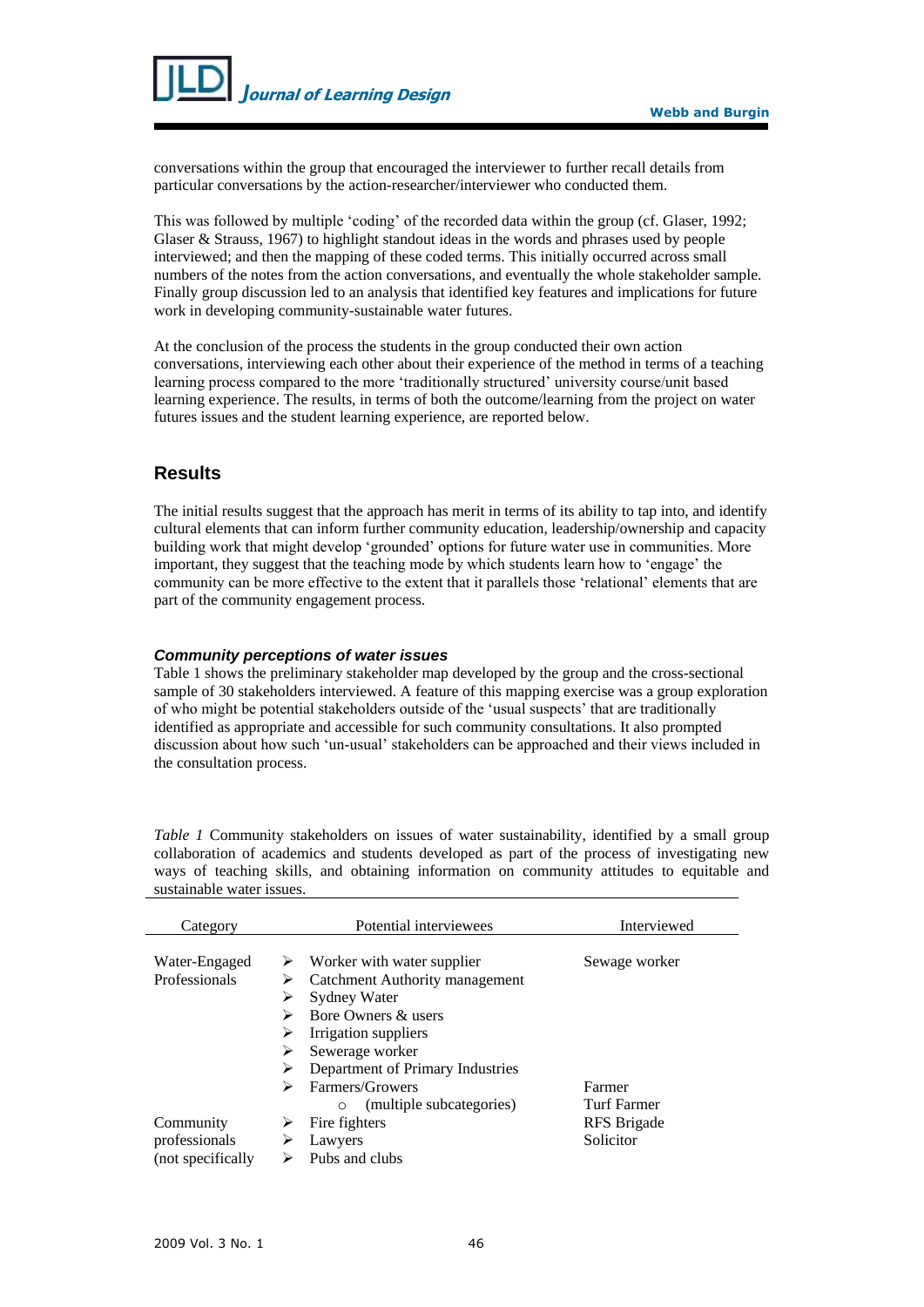

conversations within the group that encouraged the interviewer to further recall details from particular conversations by the action-researcher/interviewer who conducted them.

This was followed by multiple 'coding' of the recorded data within the group (cf. Glaser, 1992; Glaser & Strauss, 1967) to highlight standout ideas in the words and phrases used by people interviewed; and then the mapping of these coded terms. This initially occurred across small numbers of the notes from the action conversations, and eventually the whole stakeholder sample. Finally group discussion led to an analysis that identified key features and implications for future work in developing community-sustainable water futures.

At the conclusion of the process the students in the group conducted their own action conversations, interviewing each other about their experience of the method in terms of a teaching learning process compared to the more 'traditionally structured' university course/unit based learning experience. The results, in terms of both the outcome/learning from the project on water futures issues and the student learning experience, are reported below.

# **Results**

The initial results suggest that the approach has merit in terms of its ability to tap into, and identify cultural elements that can inform further community education, leadership/ownership and capacity building work that might develop 'grounded' options for future water use in communities. More important, they suggest that the teaching mode by which students learn how to 'engage' the community can be more effective to the extent that it parallels those 'relational' elements that are part of the community engagement process.

### *Community perceptions of water issues*

Table 1 shows the preliminary stakeholder map developed by the group and the cross-sectional sample of 30 stakeholders interviewed. A feature of this mapping exercise was a group exploration of who might be potential stakeholders outside of the 'usual suspects' that are traditionally identified as appropriate and accessible for such community consultations. It also prompted discussion about how such 'un-usual' stakeholders can be approached and their views included in the consultation process.

*Table 1* Community stakeholders on issues of water sustainability, identified by a small group collaboration of academics and students developed as part of the process of investigating new ways of teaching skills, and obtaining information on community attitudes to equitable and sustainable water issues.

| Category                                        | Potential interviewees                                                                                                  | Interviewed              |  |
|-------------------------------------------------|-------------------------------------------------------------------------------------------------------------------------|--------------------------|--|
| Water-Engaged<br>Professionals                  | Worker with water supplier<br>➤<br>Catchment Authority management<br>⋗                                                  | Sewage worker            |  |
|                                                 | <b>Sydney Water</b><br>⋗<br>Bore Owners & users<br>⋗<br>Irrigation suppliers<br>⋗<br>⋗                                  |                          |  |
|                                                 | Sewerage worker<br>Department of Primary Industries<br>⋗<br>Farmers/Growers<br>↘<br>(multiple subcategories)<br>$\circ$ | Farmer<br>Turf Farmer    |  |
| Community<br>professionals<br>(not specifically | Fire fighters<br>Lawyers<br>Pubs and clubs                                                                              | RFS Brigade<br>Solicitor |  |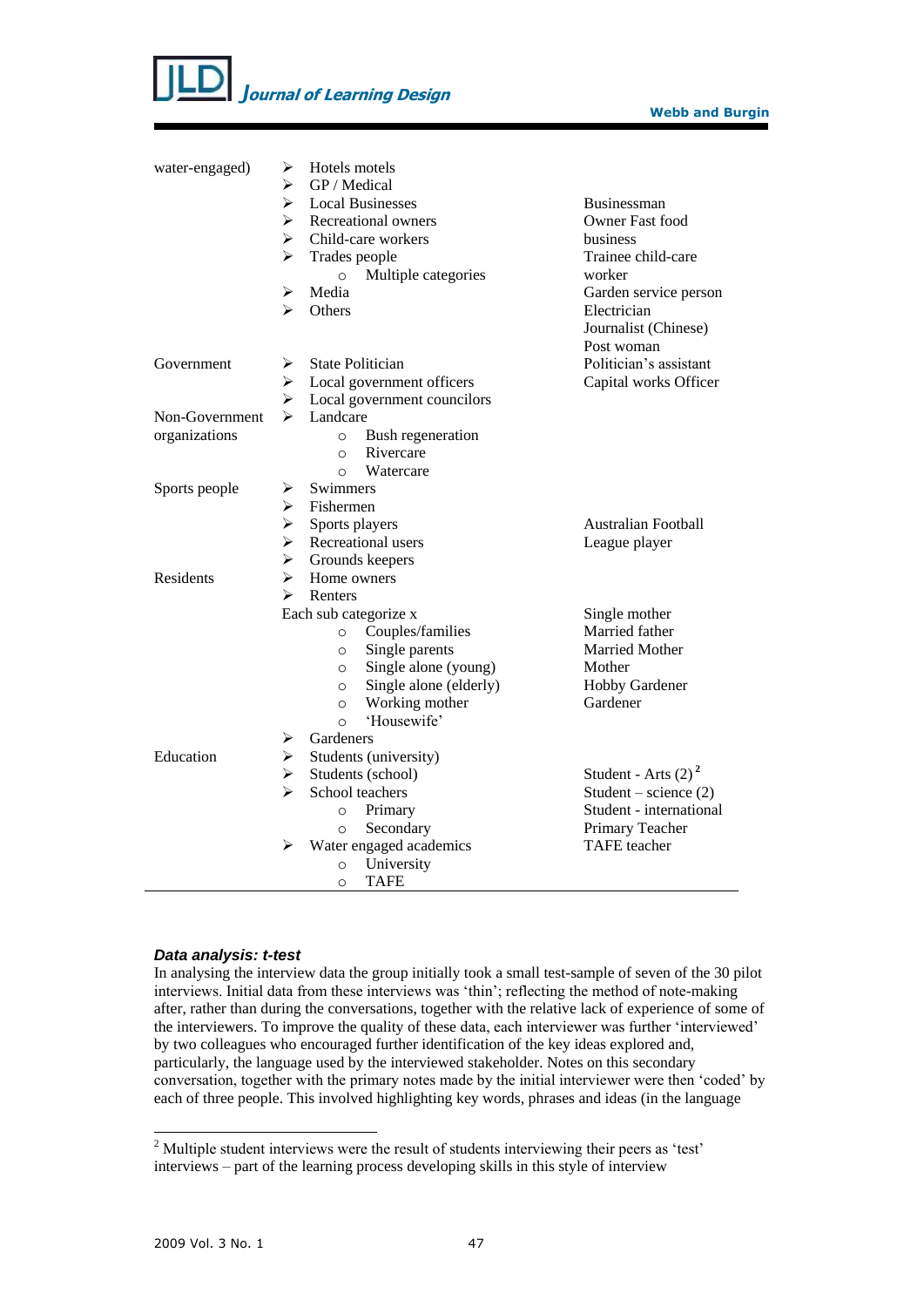

| water-engaged) | ➤                     | Hotels motels           |                             |                            |  |  |
|----------------|-----------------------|-------------------------|-----------------------------|----------------------------|--|--|
|                | ➤                     | GP / Medical            |                             |                            |  |  |
|                | ➤                     |                         | <b>Local Businesses</b>     | <b>Businessman</b>         |  |  |
|                | $\blacktriangleright$ |                         | Recreational owners         | Owner Fast food            |  |  |
|                | $\blacktriangleright$ |                         | Child-care workers          | business                   |  |  |
|                | $\blacktriangleright$ | Trades people           |                             | Trainee child-care         |  |  |
|                |                       | $\circ$                 | Multiple categories         | worker                     |  |  |
|                | ➤                     | Media                   |                             | Garden service person      |  |  |
|                | ➤                     | Others                  |                             | Electrician                |  |  |
|                |                       |                         |                             | Journalist (Chinese)       |  |  |
|                |                       |                         |                             | Post woman                 |  |  |
| Government     | ➤                     |                         | <b>State Politician</b>     | Politician's assistant     |  |  |
|                | ➤                     |                         | Local government officers   | Capital works Officer      |  |  |
|                | ➤                     |                         | Local government councilors |                            |  |  |
| Non-Government | ⋗                     | Landcare                |                             |                            |  |  |
| organizations  |                       | $\circ$                 | Bush regeneration           |                            |  |  |
|                |                       | $\Omega$                | Rivercare                   |                            |  |  |
|                |                       | $\circ$                 | Watercare                   |                            |  |  |
| Sports people  | ➤                     | Swimmers                |                             |                            |  |  |
|                | ➤                     | Fishermen               |                             |                            |  |  |
|                | $\blacktriangleright$ | Sports players          |                             | <b>Australian Football</b> |  |  |
|                | $\blacktriangleright$ |                         | Recreational users          | League player              |  |  |
|                | ➤                     |                         | Grounds keepers             |                            |  |  |
| Residents      | ➤                     | Home owners             |                             |                            |  |  |
|                | ⋗                     | Renters                 |                             |                            |  |  |
|                |                       |                         | Each sub categorize x       | Single mother              |  |  |
|                |                       | $\circ$                 | Couples/families            | Married father             |  |  |
|                |                       | $\circ$                 | Single parents              | Married Mother             |  |  |
|                |                       | $\circ$                 | Single alone (young)        | Mother                     |  |  |
|                |                       | $\circ$                 | Single alone (elderly)      | Hobby Gardener             |  |  |
|                |                       | $\circ$                 | Working mother              | Gardener                   |  |  |
|                |                       | $\Omega$                | 'Housewife'                 |                            |  |  |
|                | ➤                     | Gardeners               |                             |                            |  |  |
| Education      | ≻                     | Students (university)   |                             |                            |  |  |
|                | $\blacktriangleright$ |                         | Students (school)           | Student - Arts $(2)^2$     |  |  |
|                | ➤                     |                         | School teachers             | Student – science $(2)$    |  |  |
|                |                       | $\circ$                 | Primary                     | Student - international    |  |  |
|                |                       | $\circ$                 | Secondary                   | Primary Teacher            |  |  |
|                | ➤                     | Water engaged academics | <b>TAFE</b> teacher         |                            |  |  |
|                |                       | $\circ$                 | University                  |                            |  |  |
|                |                       | $\circ$                 | <b>TAFE</b>                 |                            |  |  |

### *Data analysis: t-test*

In analysing the interview data the group initially took a small test-sample of seven of the 30 pilot interviews. Initial data from these interviews was 'thin'; reflecting the method of note-making after, rather than during the conversations, together with the relative lack of experience of some of the interviewers. To improve the quality of these data, each interviewer was further 'interviewed' by two colleagues who encouraged further identification of the key ideas explored and, particularly, the language used by the interviewed stakeholder. Notes on this secondary conversation, together with the primary notes made by the initial interviewer were then 'coded' by each of three people. This involved highlighting key words, phrases and ideas (in the language

l

 $2$  Multiple student interviews were the result of students interviewing their peers as 'test' interviews – part of the learning process developing skills in this style of interview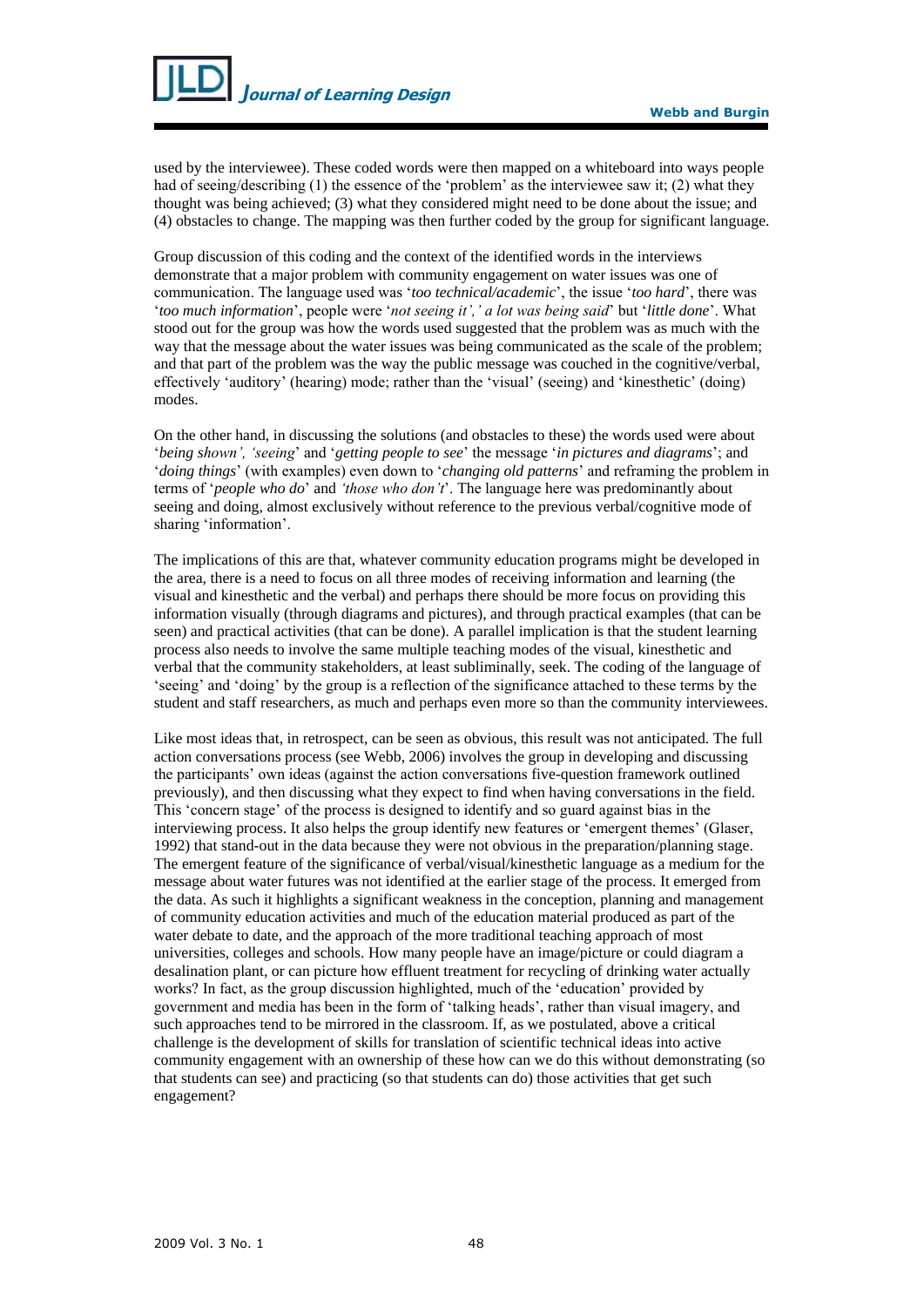used by the interviewee). These coded words were then mapped on a whiteboard into ways people had of seeing/describing (1) the essence of the 'problem' as the interviewee saw it; (2) what they thought was being achieved; (3) what they considered might need to be done about the issue; and (4) obstacles to change. The mapping was then further coded by the group for significant language.

Group discussion of this coding and the context of the identified words in the interviews demonstrate that a major problem with community engagement on water issues was one of communication. The language used was '*too technical/academic*', the issue '*too hard*', there was '*too much information*', people were '*not seeing it',' a lot was being said*' but '*little done*'. What stood out for the group was how the words used suggested that the problem was as much with the way that the message about the water issues was being communicated as the scale of the problem; and that part of the problem was the way the public message was couched in the cognitive/verbal, effectively 'auditory' (hearing) mode; rather than the 'visual' (seeing) and 'kinesthetic' (doing) modes.

On the other hand, in discussing the solutions (and obstacles to these) the words used were about '*being shown', 'seeing*' and '*getting people to see*' the message '*in pictures and diagrams*'; and '*doing things*' (with examples) even down to '*changing old patterns*' and reframing the problem in terms of '*people who do*' and *'those who don't*'. The language here was predominantly about seeing and doing, almost exclusively without reference to the previous verbal/cognitive mode of sharing 'information'.

The implications of this are that, whatever community education programs might be developed in the area, there is a need to focus on all three modes of receiving information and learning (the visual and kinesthetic and the verbal) and perhaps there should be more focus on providing this information visually (through diagrams and pictures), and through practical examples (that can be seen) and practical activities (that can be done). A parallel implication is that the student learning process also needs to involve the same multiple teaching modes of the visual, kinesthetic and verbal that the community stakeholders, at least subliminally, seek. The coding of the language of 'seeing' and 'doing' by the group is a reflection of the significance attached to these terms by the student and staff researchers, as much and perhaps even more so than the community interviewees.

Like most ideas that, in retrospect, can be seen as obvious, this result was not anticipated. The full action conversations process (see Webb, 2006) involves the group in developing and discussing the participants' own ideas (against the action conversations five-question framework outlined previously), and then discussing what they expect to find when having conversations in the field. This 'concern stage' of the process is designed to identify and so guard against bias in the interviewing process. It also helps the group identify new features or 'emergent themes' (Glaser, 1992) that stand-out in the data because they were not obvious in the preparation/planning stage. The emergent feature of the significance of verbal/visual/kinesthetic language as a medium for the message about water futures was not identified at the earlier stage of the process. It emerged from the data. As such it highlights a significant weakness in the conception, planning and management of community education activities and much of the education material produced as part of the water debate to date, and the approach of the more traditional teaching approach of most universities, colleges and schools. How many people have an image/picture or could diagram a desalination plant, or can picture how effluent treatment for recycling of drinking water actually works? In fact, as the group discussion highlighted, much of the 'education' provided by government and media has been in the form of 'talking heads', rather than visual imagery, and such approaches tend to be mirrored in the classroom. If, as we postulated, above a critical challenge is the development of skills for translation of scientific technical ideas into active community engagement with an ownership of these how can we do this without demonstrating (so that students can see) and practicing (so that students can do) those activities that get such engagement?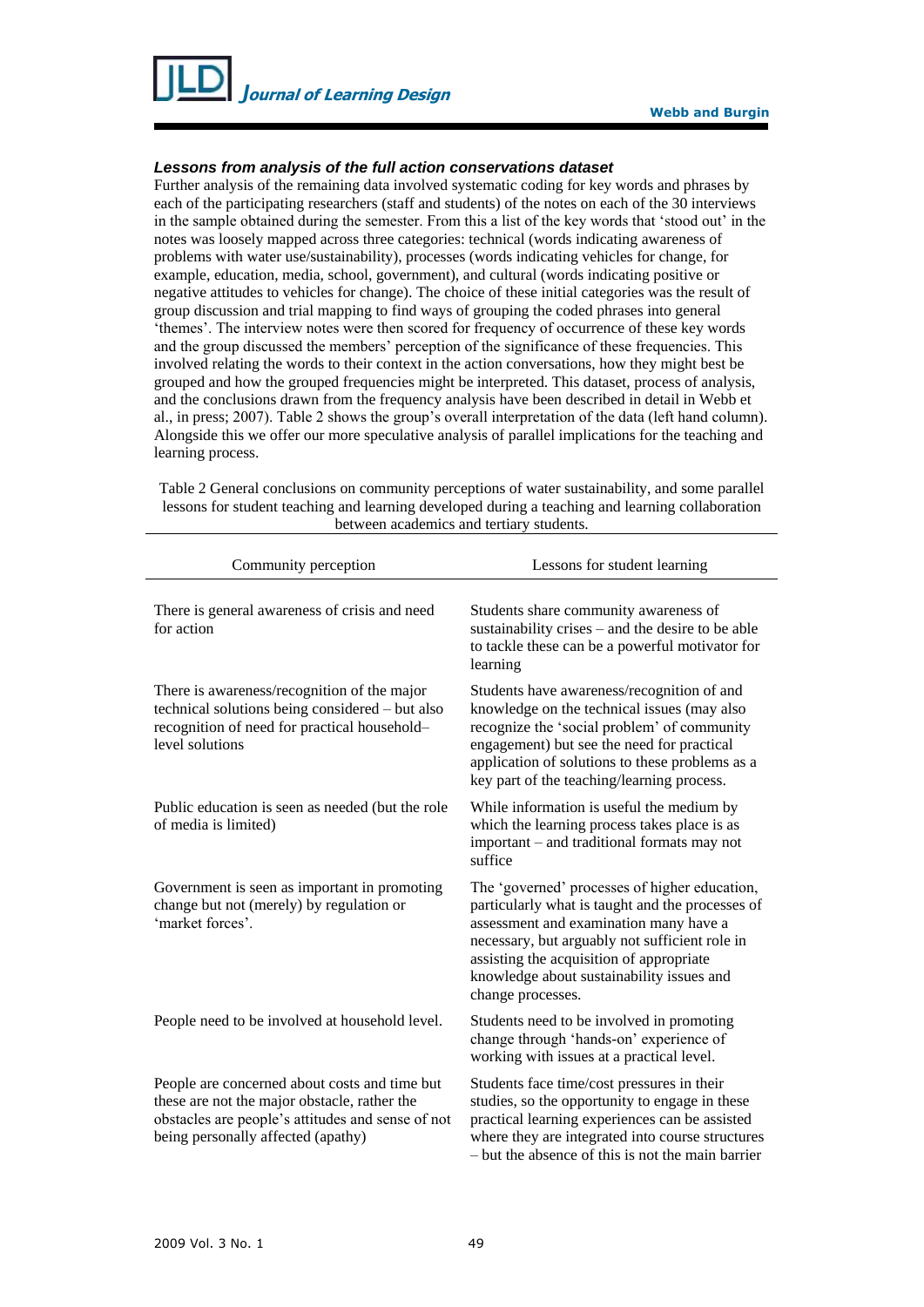

### *Lessons from analysis of the full action conservations dataset*

Further analysis of the remaining data involved systematic coding for key words and phrases by each of the participating researchers (staff and students) of the notes on each of the 30 interviews in the sample obtained during the semester. From this a list of the key words that 'stood out' in the notes was loosely mapped across three categories: technical (words indicating awareness of problems with water use/sustainability), processes (words indicating vehicles for change, for example, education, media, school, government), and cultural (words indicating positive or negative attitudes to vehicles for change). The choice of these initial categories was the result of group discussion and trial mapping to find ways of grouping the coded phrases into general 'themes'. The interview notes were then scored for frequency of occurrence of these key words and the group discussed the members' perception of the significance of these frequencies. This involved relating the words to their context in the action conversations, how they might best be grouped and how the grouped frequencies might be interpreted. This dataset, process of analysis, and the conclusions drawn from the frequency analysis have been described in detail in Webb et al., in press; 2007). Table 2 shows the group's overall interpretation of the data (left hand column). Alongside this we offer our more speculative analysis of parallel implications for the teaching and learning process.

| Community perception                                                                                                                                                                     | Lessons for student learning                                                                                                                                                                                                                                                                                |  |
|------------------------------------------------------------------------------------------------------------------------------------------------------------------------------------------|-------------------------------------------------------------------------------------------------------------------------------------------------------------------------------------------------------------------------------------------------------------------------------------------------------------|--|
| There is general awareness of crisis and need<br>for action                                                                                                                              | Students share community awareness of<br>sustainability crises - and the desire to be able<br>to tackle these can be a powerful motivator for<br>learning                                                                                                                                                   |  |
| There is awareness/recognition of the major<br>technical solutions being considered - but also<br>recognition of need for practical household-<br>level solutions                        | Students have awareness/recognition of and<br>knowledge on the technical issues (may also<br>recognize the 'social problem' of community<br>engagement) but see the need for practical<br>application of solutions to these problems as a<br>key part of the teaching/learning process.                     |  |
| Public education is seen as needed (but the role<br>of media is limited)                                                                                                                 | While information is useful the medium by<br>which the learning process takes place is as<br>important - and traditional formats may not<br>suffice                                                                                                                                                         |  |
| Government is seen as important in promoting<br>change but not (merely) by regulation or<br>'market forces'.                                                                             | The 'governed' processes of higher education,<br>particularly what is taught and the processes of<br>assessment and examination many have a<br>necessary, but arguably not sufficient role in<br>assisting the acquisition of appropriate<br>knowledge about sustainability issues and<br>change processes. |  |
| People need to be involved at household level.                                                                                                                                           | Students need to be involved in promoting<br>change through 'hands-on' experience of<br>working with issues at a practical level.                                                                                                                                                                           |  |
| People are concerned about costs and time but<br>these are not the major obstacle, rather the<br>obstacles are people's attitudes and sense of not<br>being personally affected (apathy) | Students face time/cost pressures in their<br>studies, so the opportunity to engage in these<br>practical learning experiences can be assisted<br>where they are integrated into course structures<br>- but the absence of this is not the main barrier                                                     |  |

Table 2 General conclusions on community perceptions of water sustainability, and some parallel lessons for student teaching and learning developed during a teaching and learning collaboration between academics and tertiary students.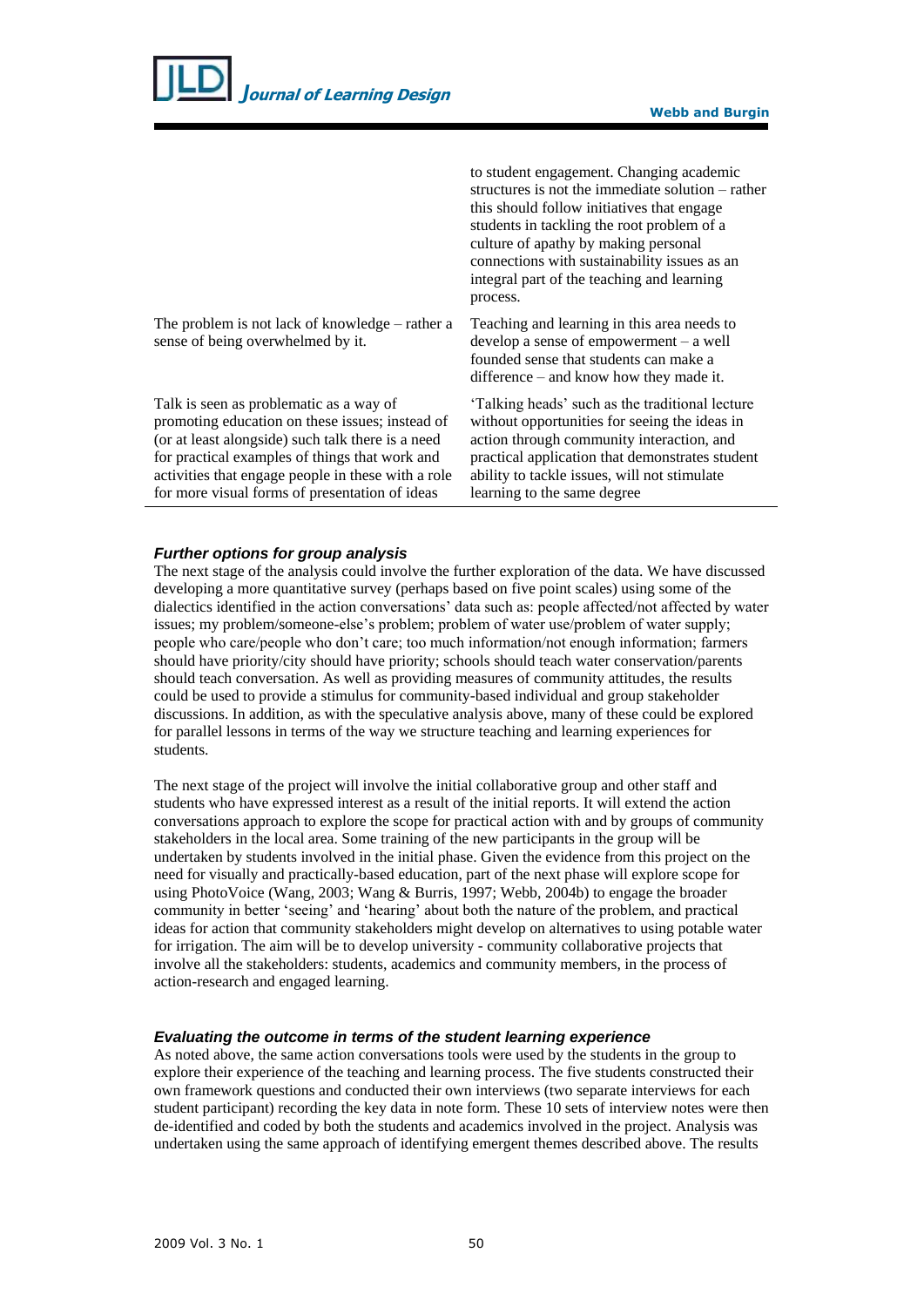| <b>Journal of Learning Design</b>                                                                                                                                                                                                                                                                         | <b>Webb and Burgin</b>                                                                                                                                                                                                                                                                                                                      |  |
|-----------------------------------------------------------------------------------------------------------------------------------------------------------------------------------------------------------------------------------------------------------------------------------------------------------|---------------------------------------------------------------------------------------------------------------------------------------------------------------------------------------------------------------------------------------------------------------------------------------------------------------------------------------------|--|
|                                                                                                                                                                                                                                                                                                           | to student engagement. Changing academic<br>structures is not the immediate solution – rather<br>this should follow initiatives that engage<br>students in tackling the root problem of a<br>culture of apathy by making personal<br>connections with sustainability issues as an<br>integral part of the teaching and learning<br>process. |  |
| The problem is not lack of knowledge – rather a<br>sense of being overwhelmed by it.                                                                                                                                                                                                                      | Teaching and learning in this area needs to<br>develop a sense of empowerment $-$ a well<br>founded sense that students can make a<br>difference – and know how they made it.                                                                                                                                                               |  |
| Talk is seen as problematic as a way of<br>promoting education on these issues; instead of<br>(or at least alongside) such talk there is a need<br>for practical examples of things that work and<br>activities that engage people in these with a role<br>for more visual forms of presentation of ideas | 'Talking heads' such as the traditional lecture<br>without opportunities for seeing the ideas in<br>action through community interaction, and<br>practical application that demonstrates student<br>ability to tackle issues, will not stimulate<br>learning to the same degree                                                             |  |

#### *Further options for group analysis*

The next stage of the analysis could involve the further exploration of the data. We have discussed developing a more quantitative survey (perhaps based on five point scales) using some of the dialectics identified in the action conversations' data such as: people affected/not affected by water issues; my problem/someone-else's problem; problem of water use/problem of water supply; people who care/people who don't care; too much information/not enough information; farmers should have priority/city should have priority; schools should teach water conservation/parents should teach conversation. As well as providing measures of community attitudes, the results could be used to provide a stimulus for community-based individual and group stakeholder discussions. In addition, as with the speculative analysis above, many of these could be explored for parallel lessons in terms of the way we structure teaching and learning experiences for students.

The next stage of the project will involve the initial collaborative group and other staff and students who have expressed interest as a result of the initial reports. It will extend the action conversations approach to explore the scope for practical action with and by groups of community stakeholders in the local area. Some training of the new participants in the group will be undertaken by students involved in the initial phase. Given the evidence from this project on the need for visually and practically-based education, part of the next phase will explore scope for using PhotoVoice (Wang, 2003; Wang & Burris, 1997; Webb, 2004b) to engage the broader community in better 'seeing' and 'hearing' about both the nature of the problem, and practical ideas for action that community stakeholders might develop on alternatives to using potable water for irrigation. The aim will be to develop university - community collaborative projects that involve all the stakeholders: students, academics and community members, in the process of action-research and engaged learning.

#### *Evaluating the outcome in terms of the student learning experience*

As noted above, the same action conversations tools were used by the students in the group to explore their experience of the teaching and learning process. The five students constructed their own framework questions and conducted their own interviews (two separate interviews for each student participant) recording the key data in note form. These 10 sets of interview notes were then de-identified and coded by both the students and academics involved in the project. Analysis was undertaken using the same approach of identifying emergent themes described above. The results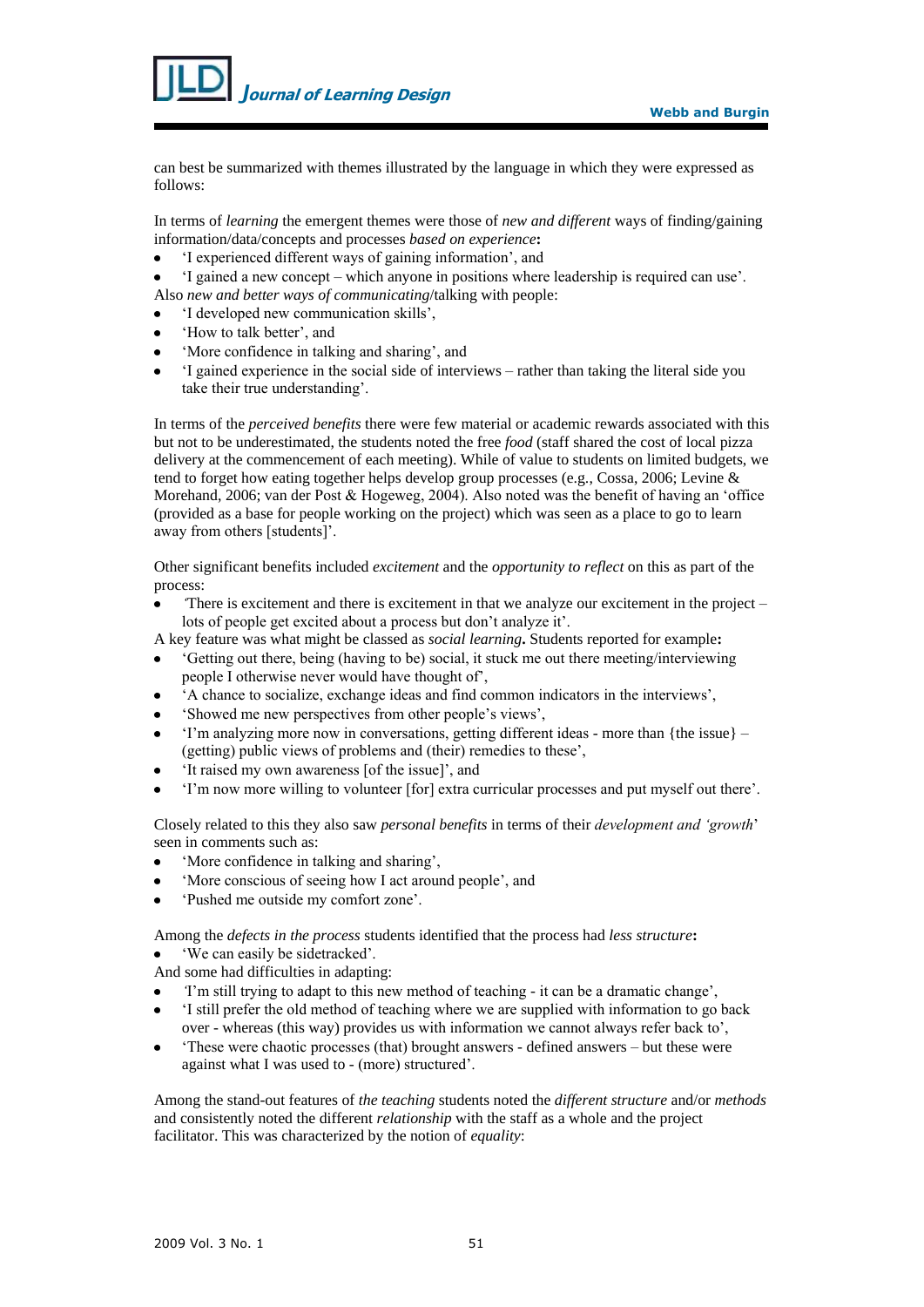

can best be summarized with themes illustrated by the language in which they were expressed as follows:

In terms of *learning* the emergent themes were those of *new and different* ways of finding/gaining information/data/concepts and processes *based on experience***:**

- 'I experienced different ways of gaining information', and
- 'I gained a new concept which anyone in positions where leadership is required can use'. Also *new and better ways of communicating*/talking with people:

'I developed new communication skills',

- 'How to talk better', and
- 'More confidence in talking and sharing', and
- 'I gained experience in the social side of interviews rather than taking the literal side you take their true understanding'.

In terms of the *perceived benefits* there were few material or academic rewards associated with this but not to be underestimated, the students noted the free *food* (staff shared the cost of local pizza delivery at the commencement of each meeting). While of value to students on limited budgets, we tend to forget how eating together helps develop group processes (e.g., Cossa, 2006; Levine & Morehand, 2006; van der Post & Hogeweg, 2004). Also noted was the benefit of having an 'office (provided as a base for people working on the project) which was seen as a place to go to learn away from others [students]'.

Other significant benefits included *excitement* and the *opportunity to reflect* on this as part of the process:

- *'*There is excitement and there is excitement in that we analyze our excitement in the project  $\bullet$ lots of people get excited about a process but don't analyze it'.
- A key feature was what might be classed as *social learning***.** Students reported for example**:**
- 'Getting out there, being (having to be) social, it stuck me out there meeting/interviewing people I otherwise never would have thought of',
- 'A chance to socialize, exchange ideas and find common indicators in the interviews',
- 'Showed me new perspectives from other people's views',
- 'I'm analyzing more now in conversations, getting different ideas more than {the issue}  $\bullet$ (getting) public views of problems and (their) remedies to these',
- 'It raised my own awareness [of the issue]', and
- 'I'm now more willing to volunteer [for] extra curricular processes and put myself out there'.

Closely related to this they also saw *personal benefits* in terms of their *development and 'growth*' seen in comments such as:

- 'More confidence in talking and sharing',
- 'More conscious of seeing how I act around people', and
- 'Pushed me outside my comfort zone'.

Among the *defects in the process* students identified that the process had *less structure***:** 'We can easily be sidetracked'.

- And some had difficulties in adapting:
- *'*I'm still trying to adapt to this new method of teaching it can be a dramatic change',
- 'I still prefer the old method of teaching where we are supplied with information to go back over - whereas (this way) provides us with information we cannot always refer back to',
- 'These were chaotic processes (that) brought answers defined answers but these were  $\bullet$ against what I was used to - (more) structured'.

Among the stand-out features of *the teaching* students noted the *different structure* and/or *methods* and consistently noted the different *relationship* with the staff as a whole and the project facilitator. This was characterized by the notion of *equality*: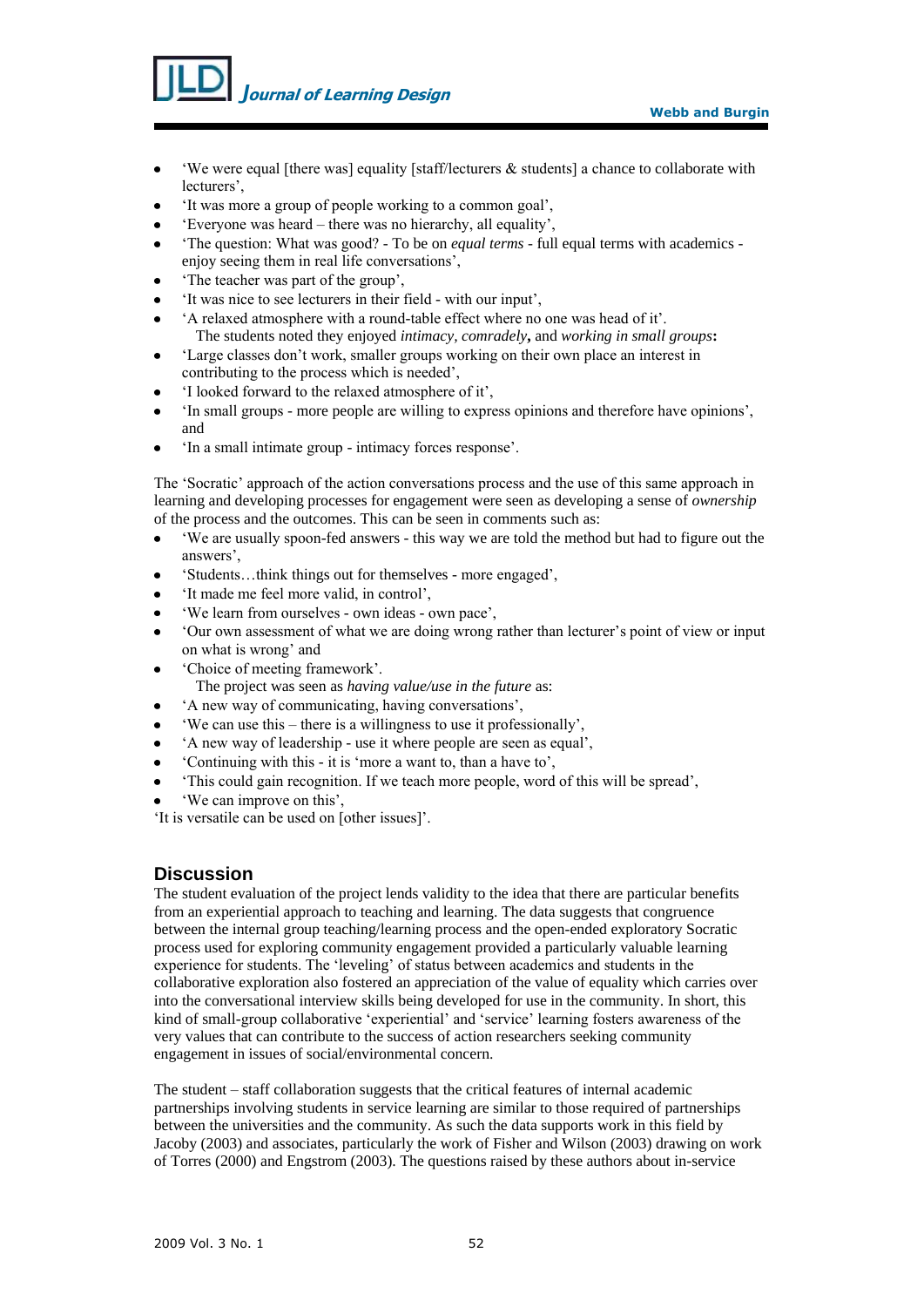*J***ournal of Learning Design**

- 'We were equal [there was] equality [staff/lecturers & students] a chance to collaborate with lecturers',
- 'It was more a group of people working to a common goal',
- 'Everyone was heard there was no hierarchy, all equality',
- 'The question: What was good? To be on *equal terms* full equal terms with academics enjoy seeing them in real life conversations',
- 'The teacher was part of the group',
- 'It was nice to see lecturers in their field with our input',
- 'A relaxed atmosphere with a round-table effect where no one was head of it'. The students noted they enjoyed *intimacy, comradely***,** and *working in small groups***:**
- 'Large classes don't work, smaller groups working on their own place an interest in contributing to the process which is needed',
- 'I looked forward to the relaxed atmosphere of it',
- 'In small groups more people are willing to express opinions and therefore have opinions', and
- 'In a small intimate group intimacy forces response'.

The 'Socratic' approach of the action conversations process and the use of this same approach in learning and developing processes for engagement were seen as developing a sense of *ownership* of the process and the outcomes. This can be seen in comments such as:

- 'We are usually spoon-fed answers this way we are told the method but had to figure out the answers',
- 'Students…think things out for themselves more engaged',
- 'It made me feel more valid, in control',
- 'We learn from ourselves own ideas own pace',
- 'Our own assessment of what we are doing wrong rather than lecturer's point of view or input on what is wrong' and
- 'Choice of meeting framework'.
	- The project was seen as *having value/use in the future* as:
- 'A new way of communicating, having conversations',
- 'We can use this there is a willingness to use it professionally',
- 'A new way of leadership use it where people are seen as equal',
- 'Continuing with this it is 'more a want to, than a have to',
- 'This could gain recognition. If we teach more people, word of this will be spread',
- 'We can improve on this',

'It is versatile can be used on [other issues]'.

# **Discussion**

The student evaluation of the project lends validity to the idea that there are particular benefits from an experiential approach to teaching and learning. The data suggests that congruence between the internal group teaching/learning process and the open-ended exploratory Socratic process used for exploring community engagement provided a particularly valuable learning experience for students. The 'leveling' of status between academics and students in the collaborative exploration also fostered an appreciation of the value of equality which carries over into the conversational interview skills being developed for use in the community. In short, this kind of small-group collaborative 'experiential' and 'service' learning fosters awareness of the very values that can contribute to the success of action researchers seeking community engagement in issues of social/environmental concern.

The student – staff collaboration suggests that the critical features of internal academic partnerships involving students in service learning are similar to those required of partnerships between the universities and the community. As such the data supports work in this field by Jacoby (2003) and associates, particularly the work of Fisher and Wilson (2003) drawing on work of Torres (2000) and Engstrom (2003). The questions raised by these authors about in-service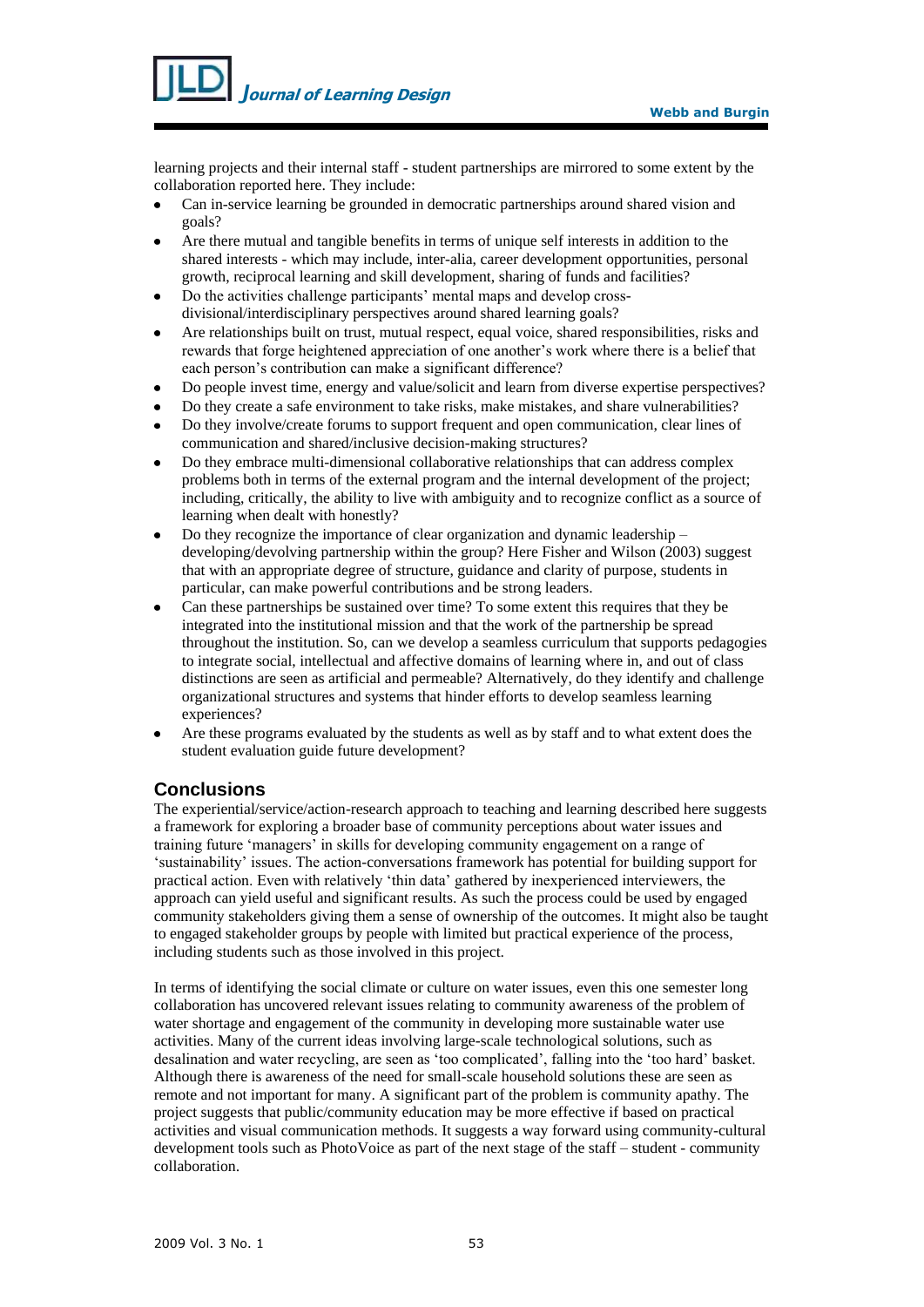

learning projects and their internal staff - student partnerships are mirrored to some extent by the collaboration reported here. They include:

- Can in-service learning be grounded in democratic partnerships around shared vision and goals?
- Are there mutual and tangible benefits in terms of unique self interests in addition to the shared interests - which may include, inter-alia, career development opportunities, personal growth, reciprocal learning and skill development, sharing of funds and facilities?
- Do the activities challenge participants' mental maps and develop crossdivisional/interdisciplinary perspectives around shared learning goals?
- Are relationships built on trust, mutual respect, equal voice, shared responsibilities, risks and rewards that forge heightened appreciation of one another's work where there is a belief that each person's contribution can make a significant difference?
- Do people invest time, energy and value/solicit and learn from diverse expertise perspectives?
- Do they create a safe environment to take risks, make mistakes, and share vulnerabilities?
- Do they involve/create forums to support frequent and open communication, clear lines of communication and shared/inclusive decision-making structures?
- Do they embrace multi-dimensional collaborative relationships that can address complex problems both in terms of the external program and the internal development of the project; including, critically, the ability to live with ambiguity and to recognize conflict as a source of learning when dealt with honestly?
- Do they recognize the importance of clear organization and dynamic leadership developing/devolving partnership within the group? Here Fisher and Wilson (2003) suggest that with an appropriate degree of structure, guidance and clarity of purpose, students in particular, can make powerful contributions and be strong leaders.
- Can these partnerships be sustained over time? To some extent this requires that they be integrated into the institutional mission and that the work of the partnership be spread throughout the institution. So, can we develop a seamless curriculum that supports pedagogies to integrate social, intellectual and affective domains of learning where in, and out of class distinctions are seen as artificial and permeable? Alternatively, do they identify and challenge organizational structures and systems that hinder efforts to develop seamless learning experiences?
- Are these programs evaluated by the students as well as by staff and to what extent does the student evaluation guide future development?

# **Conclusions**

The experiential/service/action-research approach to teaching and learning described here suggests a framework for exploring a broader base of community perceptions about water issues and training future 'managers' in skills for developing community engagement on a range of 'sustainability' issues. The action-conversations framework has potential for building support for practical action. Even with relatively 'thin data' gathered by inexperienced interviewers, the approach can yield useful and significant results. As such the process could be used by engaged community stakeholders giving them a sense of ownership of the outcomes. It might also be taught to engaged stakeholder groups by people with limited but practical experience of the process, including students such as those involved in this project.

In terms of identifying the social climate or culture on water issues, even this one semester long collaboration has uncovered relevant issues relating to community awareness of the problem of water shortage and engagement of the community in developing more sustainable water use activities. Many of the current ideas involving large-scale technological solutions, such as desalination and water recycling, are seen as 'too complicated', falling into the 'too hard' basket. Although there is awareness of the need for small-scale household solutions these are seen as remote and not important for many. A significant part of the problem is community apathy. The project suggests that public/community education may be more effective if based on practical activities and visual communication methods. It suggests a way forward using community-cultural development tools such as PhotoVoice as part of the next stage of the staff – student - community collaboration.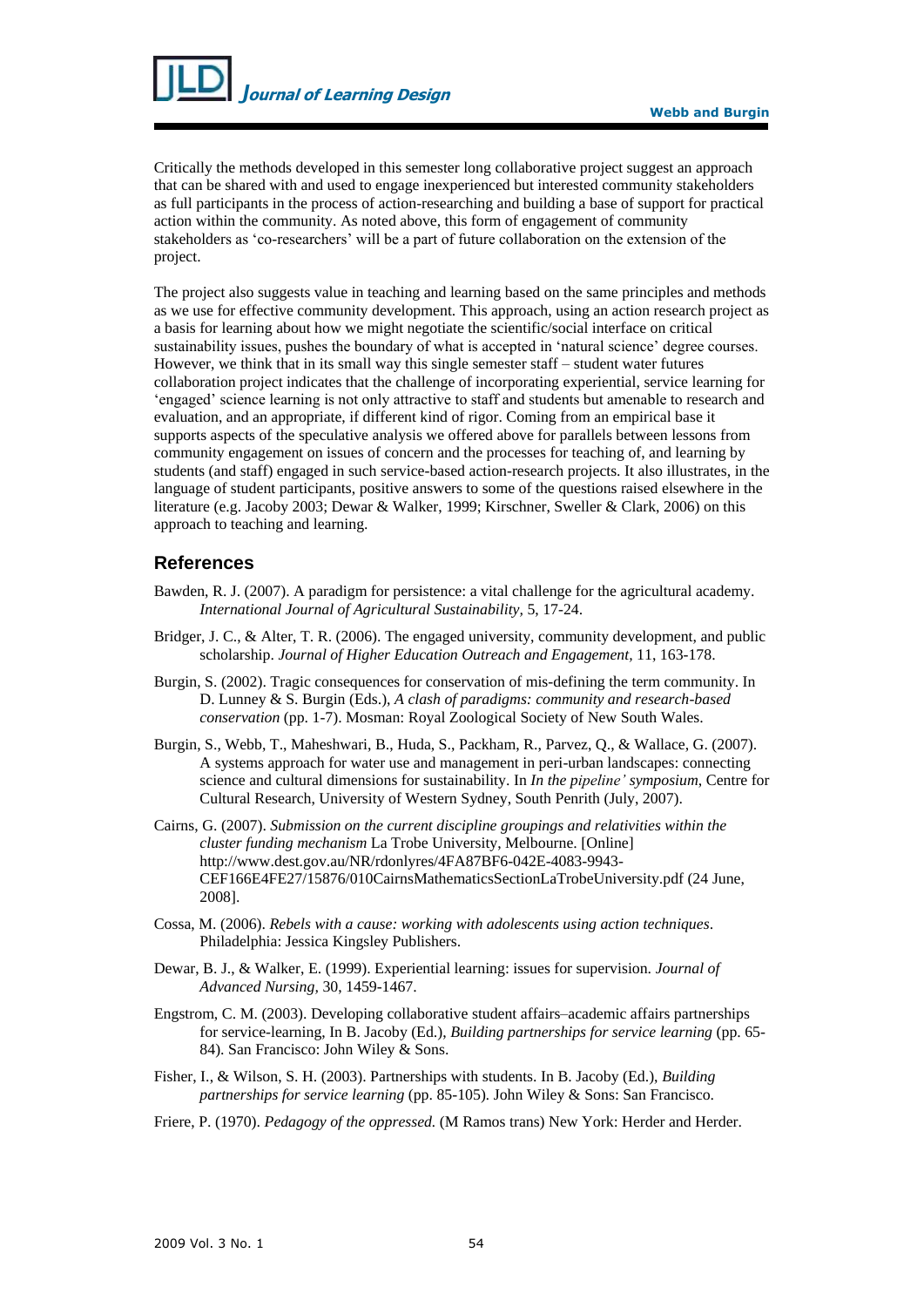

Critically the methods developed in this semester long collaborative project suggest an approach that can be shared with and used to engage inexperienced but interested community stakeholders as full participants in the process of action-researching and building a base of support for practical action within the community. As noted above, this form of engagement of community stakeholders as 'co-researchers' will be a part of future collaboration on the extension of the project.

The project also suggests value in teaching and learning based on the same principles and methods as we use for effective community development. This approach, using an action research project as a basis for learning about how we might negotiate the scientific/social interface on critical sustainability issues, pushes the boundary of what is accepted in 'natural science' degree courses. However, we think that in its small way this single semester staff – student water futures collaboration project indicates that the challenge of incorporating experiential, service learning for 'engaged' science learning is not only attractive to staff and students but amenable to research and evaluation, and an appropriate, if different kind of rigor. Coming from an empirical base it supports aspects of the speculative analysis we offered above for parallels between lessons from community engagement on issues of concern and the processes for teaching of, and learning by students (and staff) engaged in such service-based action-research projects. It also illustrates, in the language of student participants, positive answers to some of the questions raised elsewhere in the literature (e.g. Jacoby 2003; Dewar & Walker, 1999; Kirschner, Sweller & Clark, 2006) on this approach to teaching and learning.

## **References**

- Bawden, R. J. (2007). A paradigm for persistence: a vital challenge for the agricultural academy. *International Journal of Agricultural Sustainability,* 5, 17-24.
- Bridger, J. C., & Alter, T. R. (2006). The engaged university, community development, and public scholarship. *Journal of Higher Education Outreach and Engagement,* 11, 163-178.
- Burgin, S. (2002). Tragic consequences for conservation of mis-defining the term community. In D. Lunney & S. Burgin (Eds.), *A clash of paradigms: community and research-based conservation* (pp. 1-7). Mosman: Royal Zoological Society of New South Wales.
- Burgin, S., Webb, T., Maheshwari, B., Huda, S., Packham, R., Parvez, Q., & Wallace, G. (2007). A systems approach for water use and management in peri-urban landscapes: connecting science and cultural dimensions for sustainability. In *In the pipeline' symposium*, Centre for Cultural Research, University of Western Sydney, South Penrith (July, 2007).
- Cairns, G. (2007). *Submission on the current discipline groupings and relativities within the cluster funding mechanism* La Trobe University, Melbourne. [Online] [http://www.dest.gov.au/NR/rdonlyres/4FA87BF6-042E-4083-9943-](http://www.dest.gov.au/NR/rdonlyres/4FA87BF6-042E-4083-9943-CEF166E4FE27/15876/010CairnsMathematicsSectionLaTrobeUniversity.pdf%20(24) [CEF166E4FE27/15876/010CairnsMathematicsSectionLaTrobeUniversity.pdf \(24](http://www.dest.gov.au/NR/rdonlyres/4FA87BF6-042E-4083-9943-CEF166E4FE27/15876/010CairnsMathematicsSectionLaTrobeUniversity.pdf%20(24) June, 2008].
- Cossa, M. (2006). *Rebels with a cause: working with adolescents using action techniques*. Philadelphia: Jessica Kingsley Publishers.
- Dewar, B. J., & Walker, E. (1999). Experiential learning: issues for supervision. *Journal of Advanced Nursing,* 30, 1459-1467.
- Engstrom, C. M. (2003). Developing collaborative student affairs–academic affairs partnerships for service-learning, In B. Jacoby (Ed.), *Building partnerships for service learning* (pp. 65- 84). San Francisco: John Wiley & Sons.
- Fisher, I., & Wilson, S. H. (2003). Partnerships with students. In B. Jacoby (Ed.), *Building partnerships for service learning* (pp. 85-105)*.* John Wiley & Sons: San Francisco.
- Friere, P. (1970). *Pedagogy of the oppressed.* (M Ramos trans) New York: Herder and Herder.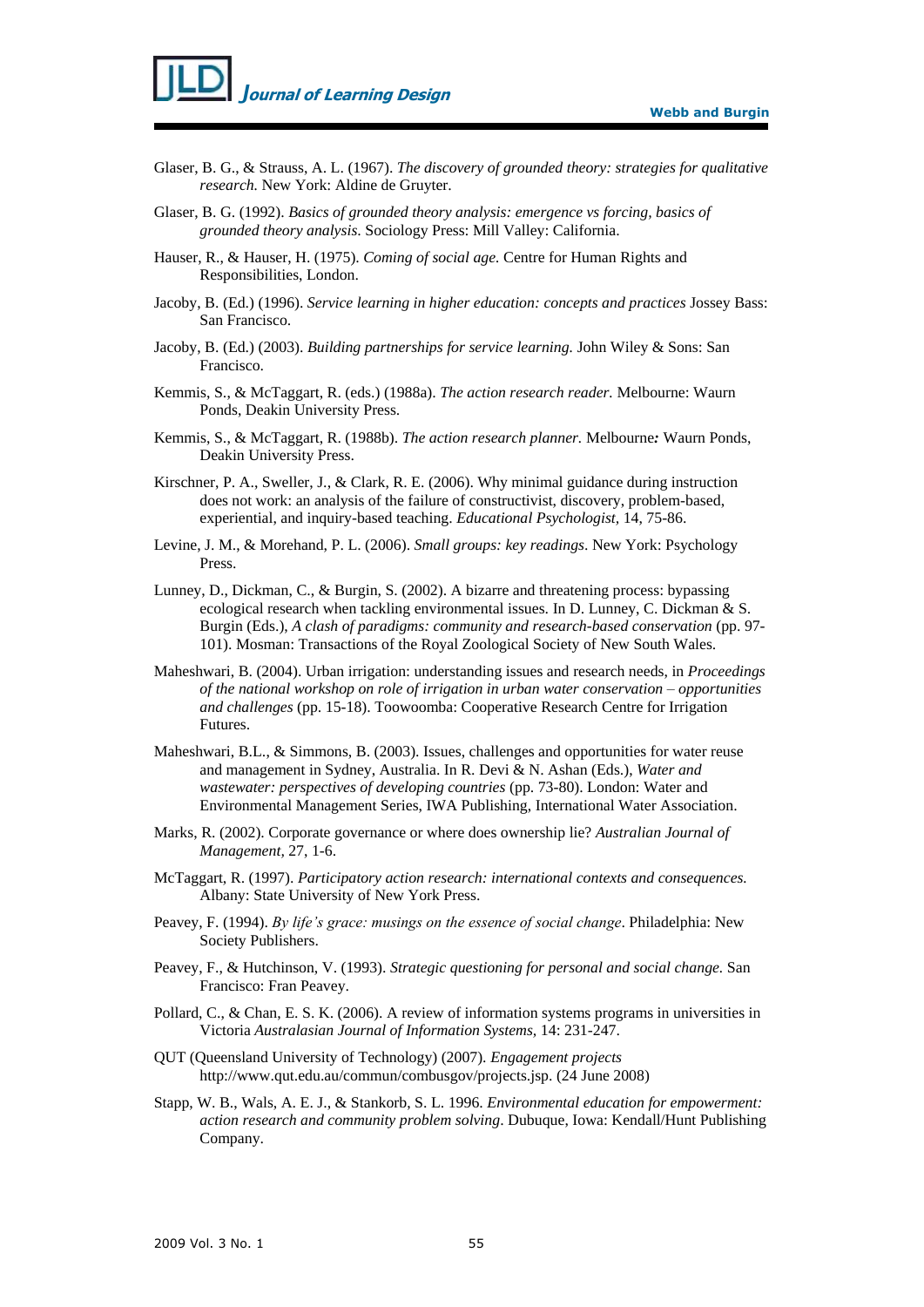

- Glaser, B. G., & Strauss, A. L. (1967). *The discovery of grounded theory: strategies for qualitative research.* New York: Aldine de Gruyter.
- Glaser, B. G. (1992). *Basics of grounded theory analysis: [emergence vs forcing, basics of](http://voyager.uws.edu.au/cgi-bin/Pwebrecon.cgi?SC=Title&SEQ=20070925171703&PID=SHWxvk3D2H6a1sf9g3o2g3DpZ6nI8fv&SA=Emergence+vs+forcing,+basics+of+grounded+theory+analysis)  [grounded theory analysis](http://voyager.uws.edu.au/cgi-bin/Pwebrecon.cgi?SC=Title&SEQ=20070925171703&PID=SHWxvk3D2H6a1sf9g3o2g3DpZ6nI8fv&SA=Emergence+vs+forcing,+basics+of+grounded+theory+analysis)*. Sociology Press: Mill Valley: California.
- Hauser, R., & Hauser, H. (1975). *Coming of social age.* Centre for Human Rights and Responsibilities, London.
- Jacoby, B. (Ed.) (1996). *Service learning in higher education: concepts and practices* Jossey Bass: San Francisco.
- Jacoby, B. (Ed.) (2003). *Building partnerships for service learning.* John Wiley & Sons: San Francisco.
- Kemmis, S., & McTaggart, R. (eds.) (1988a). *The action research reader.* Melbourne: Waurn Ponds, Deakin University Press.
- Kemmis, S., & McTaggart, R. (1988b). *The action research planner.* Melbourne*:* Waurn Ponds, Deakin University Press.
- Kirschner, P. A., Sweller, J., & Clark, R. E. (2006). Why minimal guidance during instruction does not work: an analysis of the failure of constructivist, discovery, problem-based, experiential, and inquiry-based teaching. *Educational Psychologist,* 14, 75-86.
- Levine, J. M., & Morehand, P. L. (2006). *Small groups: key readings*. New York: Psychology Press.
- Lunney, D., Dickman, C., & Burgin, S. (2002). A bizarre and threatening process: bypassing ecological research when tackling environmental issues. In D. Lunney, C. Dickman & S. Burgin (Eds.), *A clash of paradigms: community and research-based conservation* (pp. 97- 101). Mosman: Transactions of the Royal Zoological Society of New South Wales.
- Maheshwari, B. (2004). Urban irrigation: understanding issues and research needs, in *Proceedings of the national workshop on role of irrigation in urban water conservation – opportunities and challenges* (pp. 15-18). Toowoomba: Cooperative Research Centre for Irrigation Futures.
- Maheshwari, B.L., & Simmons, B. (2003). Issues, challenges and opportunities for water reuse and management in Sydney, Australia. In R. Devi & N. Ashan (Eds.), *Water and wastewater: perspectives of developing countries* (pp. 73-80). London: Water and Environmental Management Series, IWA Publishing, International Water Association.
- Marks, R. (2002). Corporate governance or where does ownership lie? *Australian Journal of Management,* 27, 1-6.
- McTaggart, R. (1997). *Participatory action research: international contexts and consequences.*  Albany: State University of New York Press.
- Peavey, F. (1994). *By life's grace: musings on the essence of social change*. Philadelphia: New Society Publishers.
- Peavey, F., & Hutchinson, V. (1993). *Strategic questioning for personal and social change.* San Francisco: Fran Peavey.
- Pollard, C., & Chan, E. S. K. (2006). A review of information systems programs in universities in Victoria *Australasian Journal of Information Systems,* 14: 231-247.
- QUT (Queensland University of Technology) (2007). *Engagement projects* [http://www.qut.edu.au/commun/combusgov/projects.jsp. \(24](http://www.qut.edu.au/commun/combusgov/projects.jsp.%20(24) June 2008)
- Stapp, W. B., Wals, A. E. J., & Stankorb, S. L. 1996. *Environmental education for empowerment: action research and community problem solving*. Dubuque, Iowa: Kendall/Hunt Publishing Company.